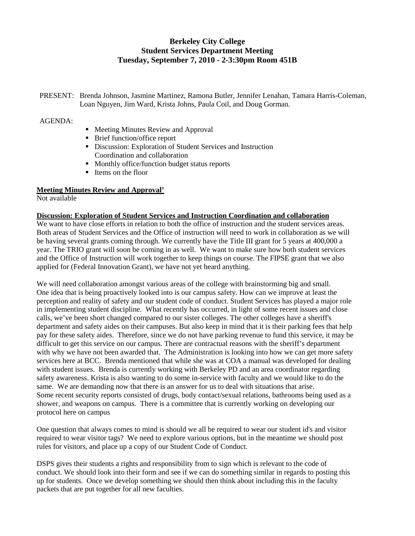# **Berkeley City College Student Services Department Meeting Tuesday, September 7, 2010 - 2-3:30pm Room 451B**

PRESENT: Brenda Johnson, Jasmine Martinez, Ramona Butler, Jennifer Lenahan, Tamara Harris-Coleman, Loan Nguyen, Jim Ward, Krista Johns, Paula Coil, and Doug Gorman.

## AGENDA:

- Meeting Minutes Review and Approval
- Brief function/office report
- Discussion: Exploration of Student Services and Instruction Coordination and collaboration
- Monthly office/function budget status reports
- Items on the floor

## **Meeting Minutes Review and Approval'**

Not available

## **Discussion: Exploration of Student Services and Instruction Coordination and collaboration**

We want to have close efforts in relation to both the office of instruction and the student services areas. Both areas of Student Services and the Office of instruction will need to work in collaboration as we will be having several grants coming through. We currently have the Title III grant for 5 years at 400,000 a year. The TRIO grant will soon be coming in as well. We want to make sure how both student services and the Office of Instruction will work together to keep things on course. The FIPSE grant that we also applied for (Federal Innovation Grant), we have not yet heard anything.

We will need collaboration amongst various areas of the college with brainstorming big and small. One idea that is being proactively looked into is our campus safety. How can we improve at least the perception and reality of safety and our student code of conduct. Student Services has played a major role in implementing student discipline. What recently has occurred, in light of some recent issues and close calls, we've been short changed compared to our sister colleges. The other colleges have a sheriff's department and safety aides on their campuses. But also keep in mind that it is their parking fees that help pay for these safety aides. Therefore, since we do not have parking revenue to fund this service, it may be difficult to get this service on our campus. There are contractual reasons with the sheriff's department with why we have not been awarded that. The Administration is looking into how we can get more safety services here at BCC. Brenda mentioned that while she was at COA a manual was developed for dealing with student issues. Brenda is currently working with Berkeley PD and an area coordinator regarding safety awareness. Krista is also wanting to do some in-service with faculty and we would like to do the same. We are demanding now that there is an answer for us to deal with situations that arise. Some recent security reports consisted of drugs, body contact/sexual relations, bathrooms being used as a shower, and weapons on campus. There is a committee that is currently working on developing our protocol here on campus

One question that always comes to mind is should we all be required to wear our student id's and visitor required to wear visitor tags? We need to explore various options, but in the meantime we should post rules for visitors, and place up a copy of our Student Code of Conduct.

DSPS gives their students a rights and responsibility from to sign which is relevant to the code of conduct. We should look into their form and see if we can do something similar in regards to posting this up for students. Once we develop something we should then think about including this in the faculty packets that are put together for all new faculties.